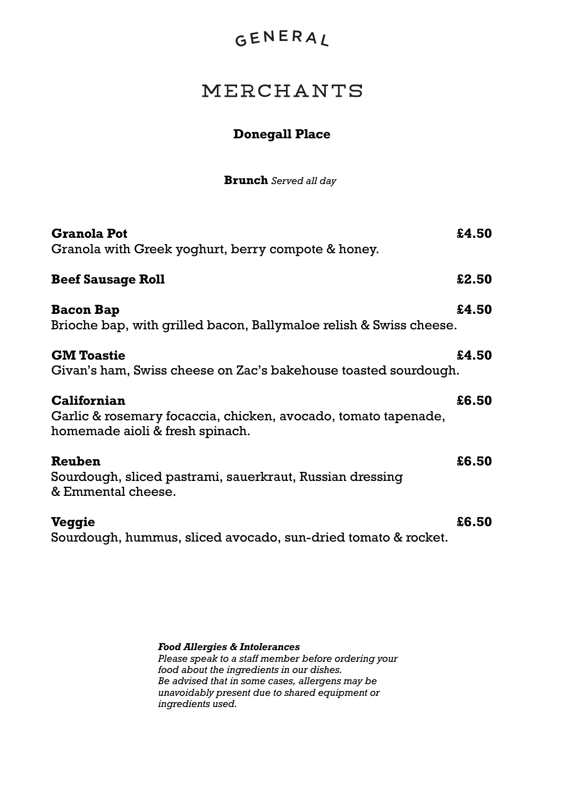### GENERAL

## MERCHANTS

#### **Donegall Place**

#### **Brunch** *Served all day*

| <b>Granola Pot</b><br>Granola with Greek yoghurt, berry compote & honey.                                         | £4.50 |
|------------------------------------------------------------------------------------------------------------------|-------|
| <b>Beef Sausage Roll</b>                                                                                         | £2.50 |
| <b>Bacon Bap</b><br>Brioche bap, with grilled bacon, Ballymaloe relish & Swiss cheese.                           | £4.50 |
| <b>GM Toastie</b><br>Givan's ham, Swiss cheese on Zac's bakehouse toasted sourdough.                             | £4.50 |
| Californian<br>Garlic & rosemary focaccia, chicken, avocado, tomato tapenade,<br>homemade aioli & fresh spinach. | £6.50 |
| Reuben<br>Sourdough, sliced pastrami, sauerkraut, Russian dressing<br>& Emmental cheese.                         | £6.50 |
| <b>Veggie</b><br>Sourdough, hummus, sliced avocado, sun-dried tomato & rocket.                                   | £6.50 |

*Food Allergies & Intolerances Please speak to a staff member before ordering your food about the ingredients in our dishes. Be advised that in some cases, allergens may be unavoidably present due to shared equipment or ingredients used.*